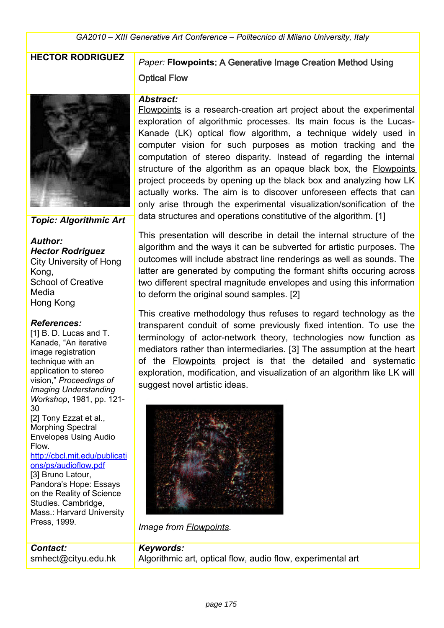

*Topic: Algorithmic Art*

*Author: Hector Rodriguez* City University of Hong Kong, School of Creative Media Hong Kong

#### *References:*

Press, 1999.

[1] B. D. Lucas and T. Kanade, "An iterative image registration technique with an application to stereo vision," *Proceedings of Imaging Understanding Workshop*, 1981, pp. 121- 30 [2] Tony Ezzat et al., Morphing Spectral Envelopes Using Audio Flow. [http://cbcl.mit.edu/publicati](http://cbcl.mit.edu/publications/ps/audioflow.pdf) [ons/ps/audioflow.pdf](http://cbcl.mit.edu/publications/ps/audioflow.pdf) [3] Bruno Latour, Pandora's Hope: Essays on the Reality of Science Studies. Cambridge, Mass.: Harvard University

## **HECTOR RODRIGUEZ** *Paper:* **Flowpoints**: A Generative Image Creation Method Using Optical Flow

#### *Abstract:*

Flowpoints is a research-creation art project about the experimental exploration of algorithmic processes. Its main focus is the Lucas-Kanade (LK) optical flow algorithm, a technique widely used in computer vision for such purposes as motion tracking and the computation of stereo disparity. Instead of regarding the internal structure of the algorithm as an opaque black box, the Flowpoints project proceeds by opening up the black box and analyzing how LK actually works. The aim is to discover unforeseen effects that can only arise through the experimental visualization/sonification of the data structures and operations constitutive of the algorithm. [1]

This presentation will describe in detail the internal structure of the algorithm and the ways it can be subverted for artistic purposes. The outcomes will include abstract line renderings as well as sounds. The latter are generated by computing the formant shifts occuring across two different spectral magnitude envelopes and using this information to deform the original sound samples. [2]

This creative methodology thus refuses to regard technology as the transparent conduit of some previously fixed intention. To use the terminology of actor-network theory, technologies now function as mediators rather than intermediaries. [3] The assumption at the heart of the Flowpoints project is that the detailed and systematic exploration, modification, and visualization of an algorithm like LK will suggest novel artistic ideas.



*Image from Flowpoints.*

*Contact:* smhect@cityu.edu.hk *Keywords:*  Algorithmic art, optical flow, audio flow, experimental art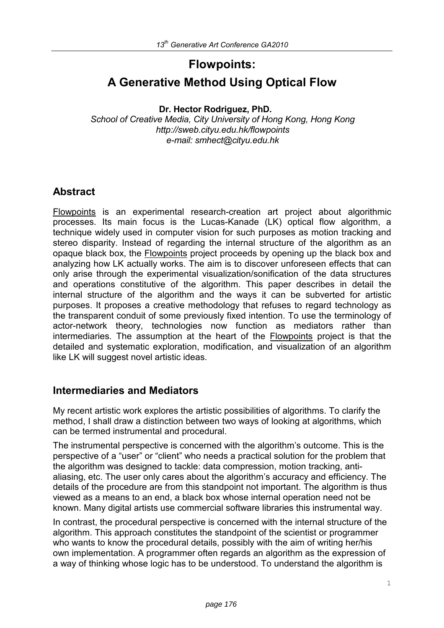# **Flowpoints: A Generative Method Using Optical Flow**

**Dr. Hector Rodriguez, PhD.** 

*School of Creative Media, City University of Hong Kong, Hong Kong http://sweb.cityu.edu.hk/flowpoints e-mail: smhect@cityu.edu.hk* 

## **Abstract**

Flowpoints is an experimental research-creation art project about algorithmic processes. Its main focus is the Lucas-Kanade (LK) optical flow algorithm, a technique widely used in computer vision for such purposes as motion tracking and stereo disparity. Instead of regarding the internal structure of the algorithm as an opaque black box, the Flowpoints project proceeds by opening up the black box and analyzing how LK actually works. The aim is to discover unforeseen effects that can only arise through the experimental visualization/sonification of the data structures and operations constitutive of the algorithm. This paper describes in detail the internal structure of the algorithm and the ways it can be subverted for artistic purposes. It proposes a creative methodology that refuses to regard technology as the transparent conduit of some previously fixed intention. To use the terminology of actor-network theory, technologies now function as mediators rather than intermediaries. The assumption at the heart of the Flowpoints project is that the detailed and systematic exploration, modification, and visualization of an algorithm like LK will suggest novel artistic ideas.

### **Intermediaries and Mediators**

My recent artistic work explores the artistic possibilities of algorithms. To clarify the method, I shall draw a distinction between two ways of looking at algorithms, which can be termed instrumental and procedural.

The instrumental perspective is concerned with the algorithm's outcome. This is the perspective of a "user" or "client" who needs a practical solution for the problem that the algorithm was designed to tackle: data compression, motion tracking, antialiasing, etc. The user only cares about the algorithm's accuracy and efficiency. The details of the procedure are from this standpoint not important. The algorithm is thus viewed as a means to an end, a black box whose internal operation need not be known. Many digital artists use commercial software libraries this instrumental way.

In contrast, the procedural perspective is concerned with the internal structure of the algorithm. This approach constitutes the standpoint of the scientist or programmer who wants to know the procedural details, possibly with the aim of writing her/his own implementation. A programmer often regards an algorithm as the expression of a way of thinking whose logic has to be understood. To understand the algorithm is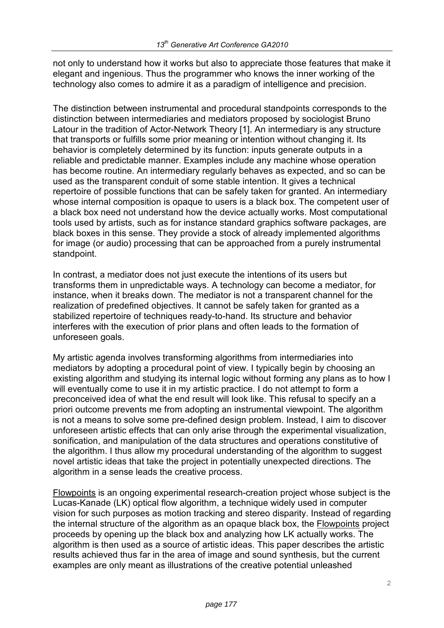not only to understand how it works but also to appreciate those features that make it elegant and ingenious. Thus the programmer who knows the inner working of the technology also comes to admire it as a paradigm of intelligence and precision.

The distinction between instrumental and procedural standpoints corresponds to the distinction between intermediaries and mediators proposed by sociologist Bruno Latour in the tradition of Actor-Network Theory [1]. An intermediary is any structure that transports or fulfills some prior meaning or intention without changing it. Its behavior is completely determined by its function: inputs generate outputs in a reliable and predictable manner. Examples include any machine whose operation has become routine. An intermediary regularly behaves as expected, and so can be used as the transparent conduit of some stable intention. It gives a technical repertoire of possible functions that can be safely taken for granted. An intermediary whose internal composition is opaque to users is a black box. The competent user of a black box need not understand how the device actually works. Most computational tools used by artists, such as for instance standard graphics software packages, are black boxes in this sense. They provide a stock of already implemented algorithms for image (or audio) processing that can be approached from a purely instrumental standpoint.

In contrast, a mediator does not just execute the intentions of its users but transforms them in unpredictable ways. A technology can become a mediator, for instance, when it breaks down. The mediator is not a transparent channel for the realization of predefined objectives. It cannot be safely taken for granted as a stabilized repertoire of techniques ready-to-hand. Its structure and behavior interferes with the execution of prior plans and often leads to the formation of unforeseen goals.

My artistic agenda involves transforming algorithms from intermediaries into mediators by adopting a procedural point of view. I typically begin by choosing an existing algorithm and studying its internal logic without forming any plans as to how I will eventually come to use it in my artistic practice. I do not attempt to form a preconceived idea of what the end result will look like. This refusal to specify an a priori outcome prevents me from adopting an instrumental viewpoint. The algorithm is not a means to solve some pre-defined design problem. Instead, I aim to discover unforeseen artistic effects that can only arise through the experimental visualization, sonification, and manipulation of the data structures and operations constitutive of the algorithm. I thus allow my procedural understanding of the algorithm to suggest novel artistic ideas that take the project in potentially unexpected directions. The algorithm in a sense leads the creative process.

Flowpoints is an ongoing experimental research-creation project whose subject is the Lucas-Kanade (LK) optical flow algorithm, a technique widely used in computer vision for such purposes as motion tracking and stereo disparity. Instead of regarding the internal structure of the algorithm as an opaque black box, the Flowpoints project proceeds by opening up the black box and analyzing how LK actually works. The algorithm is then used as a source of artistic ideas. This paper describes the artistic results achieved thus far in the area of image and sound synthesis, but the current examples are only meant as illustrations of the creative potential unleashed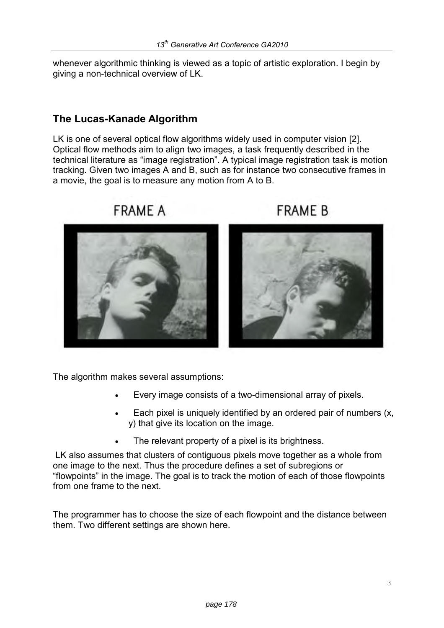whenever algorithmic thinking is viewed as a topic of artistic exploration. I begin by giving a non-technical overview of LK.

## **The Lucas-Kanade Algorithm**

LK is one of several optical flow algorithms widely used in computer vision [2]. Optical flow methods aim to align two images, a task frequently described in the technical literature as "image registration". A typical image registration task is motion tracking. Given two images A and B, such as for instance two consecutive frames in a movie, the goal is to measure any motion from A to B.



# **FRAME A**

# **FRAMF B**



The algorithm makes several assumptions:

- Every image consists of a two-dimensional array of pixels.
- Each pixel is uniquely identified by an ordered pair of numbers (x, y) that give its location on the image.
- The relevant property of a pixel is its brightness.

 LK also assumes that clusters of contiguous pixels move together as a whole from one image to the next. Thus the procedure defines a set of subregions or "flowpoints" in the image. The goal is to track the motion of each of those flowpoints from one frame to the next.

The programmer has to choose the size of each flowpoint and the distance between them. Two different settings are shown here.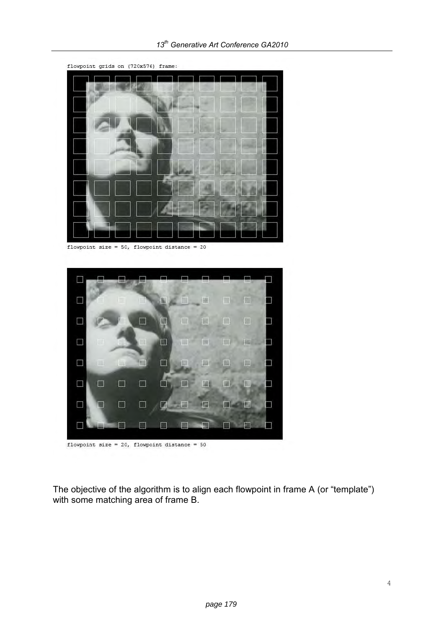

flowpoint size =  $50$ , flowpoint distance =  $20$ 



flowpoint size =  $20$ , flowpoint distance =  $50$ 

The objective of the algorithm is to align each flowpoint in frame A (or "template") with some matching area of frame B.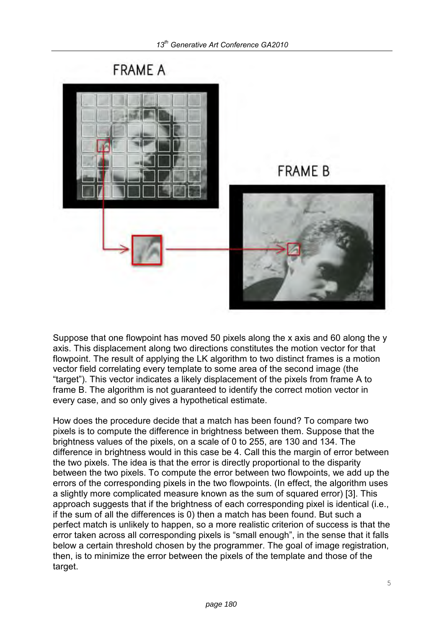

Suppose that one flowpoint has moved 50 pixels along the x axis and 60 along the y axis. This displacement along two directions constitutes the motion vector for that flowpoint. The result of applying the LK algorithm to two distinct frames is a motion vector field correlating every template to some area of the second image (the "target"). This vector indicates a likely displacement of the pixels from frame A to frame B. The algorithm is not guaranteed to identify the correct motion vector in every case, and so only gives a hypothetical estimate.

How does the procedure decide that a match has been found? To compare two pixels is to compute the difference in brightness between them. Suppose that the brightness values of the pixels, on a scale of 0 to 255, are 130 and 134. The difference in brightness would in this case be 4. Call this the margin of error between the two pixels. The idea is that the error is directly proportional to the disparity between the two pixels. To compute the error between two flowpoints, we add up the errors of the corresponding pixels in the two flowpoints. (In effect, the algorithm uses a slightly more complicated measure known as the sum of squared error) [3]. This approach suggests that if the brightness of each corresponding pixel is identical (i.e., if the sum of all the differences is 0) then a match has been found. But such a perfect match is unlikely to happen, so a more realistic criterion of success is that the error taken across all corresponding pixels is "small enough", in the sense that it falls below a certain threshold chosen by the programmer. The goal of image registration, then, is to minimize the error between the pixels of the template and those of the target.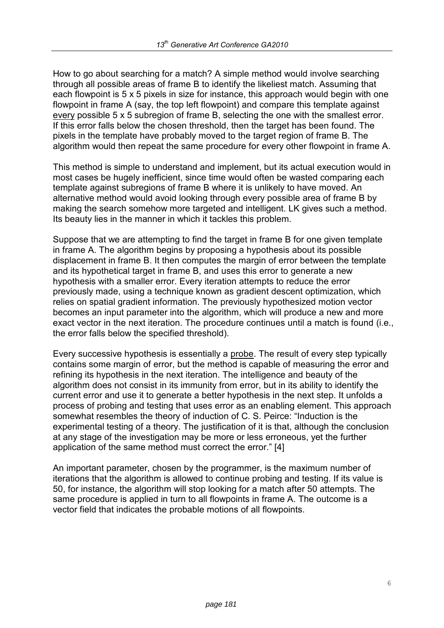How to go about searching for a match? A simple method would involve searching through all possible areas of frame B to identify the likeliest match. Assuming that each flowpoint is 5 x 5 pixels in size for instance, this approach would begin with one flowpoint in frame A (say, the top left flowpoint) and compare this template against every possible 5 x 5 subregion of frame B, selecting the one with the smallest error. If this error falls below the chosen threshold, then the target has been found. The pixels in the template have probably moved to the target region of frame B. The algorithm would then repeat the same procedure for every other flowpoint in frame A.

This method is simple to understand and implement, but its actual execution would in most cases be hugely inefficient, since time would often be wasted comparing each template against subregions of frame B where it is unlikely to have moved. An alternative method would avoid looking through every possible area of frame B by making the search somehow more targeted and intelligent. LK gives such a method. Its beauty lies in the manner in which it tackles this problem.

Suppose that we are attempting to find the target in frame B for one given template in frame A. The algorithm begins by proposing a hypothesis about its possible displacement in frame B. It then computes the margin of error between the template and its hypothetical target in frame B, and uses this error to generate a new hypothesis with a smaller error. Every iteration attempts to reduce the error previously made, using a technique known as gradient descent optimization, which relies on spatial gradient information. The previously hypothesized motion vector becomes an input parameter into the algorithm, which will produce a new and more exact vector in the next iteration. The procedure continues until a match is found (i.e., the error falls below the specified threshold).

Every successive hypothesis is essentially a probe. The result of every step typically contains some margin of error, but the method is capable of measuring the error and refining its hypothesis in the next iteration. The intelligence and beauty of the algorithm does not consist in its immunity from error, but in its ability to identify the current error and use it to generate a better hypothesis in the next step. It unfolds a process of probing and testing that uses error as an enabling element. This approach somewhat resembles the theory of induction of C. S. Peirce: "Induction is the experimental testing of a theory. The justification of it is that, although the conclusion at any stage of the investigation may be more or less erroneous, yet the further application of the same method must correct the error." [4]

An important parameter, chosen by the programmer, is the maximum number of iterations that the algorithm is allowed to continue probing and testing. If its value is 50, for instance, the algorithm will stop looking for a match after 50 attempts. The same procedure is applied in turn to all flowpoints in frame A. The outcome is a vector field that indicates the probable motions of all flowpoints.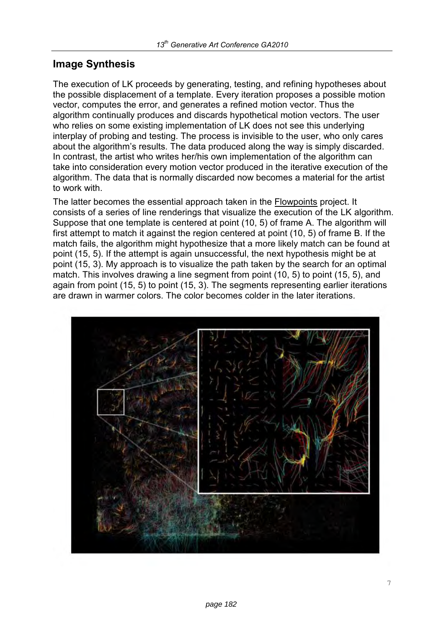## **Image Synthesis**

The execution of LK proceeds by generating, testing, and refining hypotheses about the possible displacement of a template. Every iteration proposes a possible motion vector, computes the error, and generates a refined motion vector. Thus the algorithm continually produces and discards hypothetical motion vectors. The user who relies on some existing implementation of LK does not see this underlying interplay of probing and testing. The process is invisible to the user, who only cares about the algorithm's results. The data produced along the way is simply discarded. In contrast, the artist who writes her/his own implementation of the algorithm can take into consideration every motion vector produced in the iterative execution of the algorithm. The data that is normally discarded now becomes a material for the artist to work with.

The latter becomes the essential approach taken in the Flowpoints project. It consists of a series of line renderings that visualize the execution of the LK algorithm. Suppose that one template is centered at point (10, 5) of frame A. The algorithm will first attempt to match it against the region centered at point (10, 5) of frame B. If the match fails, the algorithm might hypothesize that a more likely match can be found at point (15, 5). If the attempt is again unsuccessful, the next hypothesis might be at point (15, 3). My approach is to visualize the path taken by the search for an optimal match. This involves drawing a line segment from point (10, 5) to point (15, 5), and again from point (15, 5) to point (15, 3). The segments representing earlier iterations are drawn in warmer colors. The color becomes colder in the later iterations.

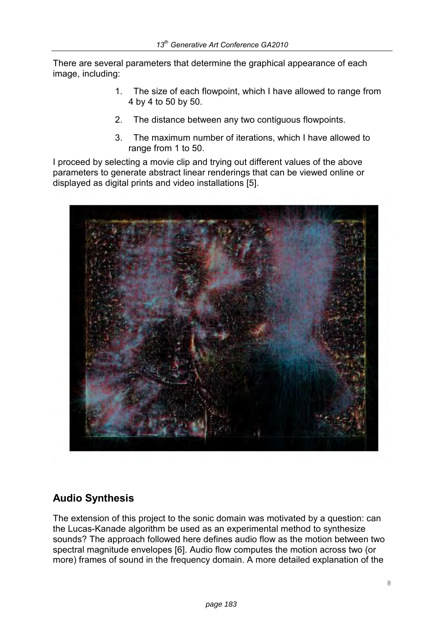There are several parameters that determine the graphical appearance of each image, including:

- 1. The size of each flowpoint, which I have allowed to range from 4 by 4 to 50 by 50.
- 2. The distance between any two contiguous flowpoints.
- 3. The maximum number of iterations, which I have allowed to range from 1 to 50.

I proceed by selecting a movie clip and trying out different values of the above parameters to generate abstract linear renderings that can be viewed online or displayed as digital prints and video installations [5].



## **Audio Synthesis**

The extension of this project to the sonic domain was motivated by a question: can the Lucas-Kanade algorithm be used as an experimental method to synthesize sounds? The approach followed here defines audio flow as the motion between two spectral magnitude envelopes [6]. Audio flow computes the motion across two (or more) frames of sound in the frequency domain. A more detailed explanation of the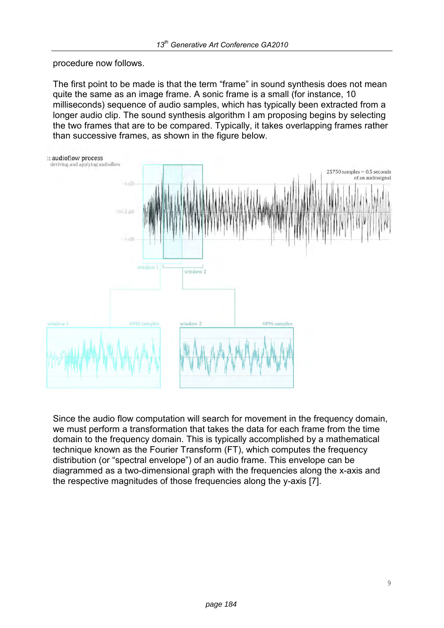procedure now follows.

The first point to be made is that the term "frame" in sound synthesis does not mean quite the same as an image frame. A sonic frame is a small (for instance, 10 milliseconds) sequence of audio samples, which has typically been extracted from a longer audio clip. The sound synthesis algorithm I am proposing begins by selecting the two frames that are to be compared. Typically, it takes overlapping frames rather than successive frames, as shown in the figure below.



Since the audio flow computation will search for movement in the frequency domain, we must perform a transformation that takes the data for each frame from the time domain to the frequency domain. This is typically accomplished by a mathematical technique known as the Fourier Transform (FT), which computes the frequency distribution (or "spectral envelope") of an audio frame. This envelope can be diagrammed as a two-dimensional graph with the frequencies along the x-axis and the respective magnitudes of those frequencies along the y-axis [7].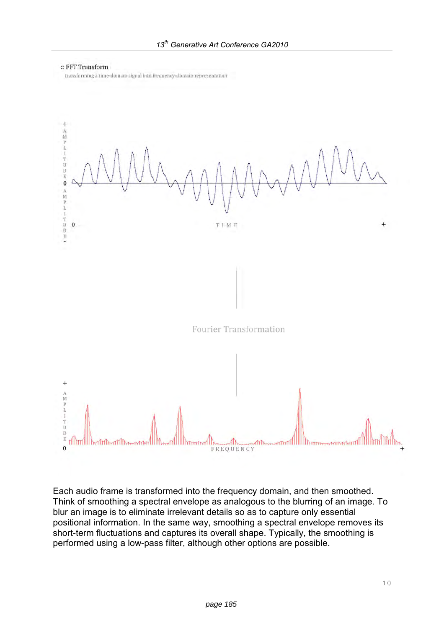

transforming a time-domain signal into frequency-domain representation



Each audio frame is transformed into the frequency domain, and then smoothed. Think of smoothing a spectral envelope as analogous to the blurring of an image. To blur an image is to eliminate irrelevant details so as to capture only essential positional information. In the same way, smoothing a spectral envelope removes its short-term fluctuations and captures its overall shape. Typically, the smoothing is performed using a low-pass filter, although other options are possible.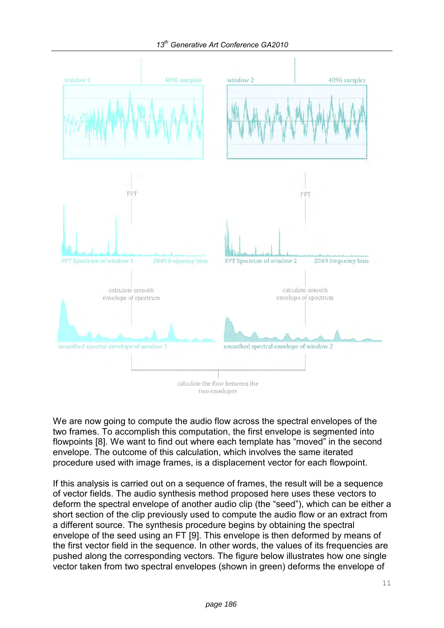

We are now going to compute the audio flow across the spectral envelopes of the two frames. To accomplish this computation, the first envelope is segmented into flowpoints [8]. We want to find out where each template has "moved" in the second envelope. The outcome of this calculation, which involves the same iterated procedure used with image frames, is a displacement vector for each flowpoint.

If this analysis is carried out on a sequence of frames, the result will be a sequence of vector fields. The audio synthesis method proposed here uses these vectors to deform the spectral envelope of another audio clip (the "seed"), which can be either a short section of the clip previously used to compute the audio flow or an extract from a different source. The synthesis procedure begins by obtaining the spectral envelope of the seed using an FT [9]. This envelope is then deformed by means of the first vector field in the sequence. In other words, the values of its frequencies are pushed along the corresponding vectors. The figure below illustrates how one single vector taken from two spectral envelopes (shown in green) deforms the envelope of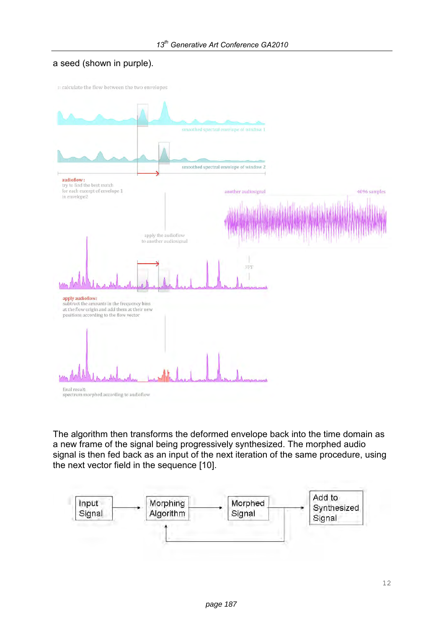#### a seed (shown in purple).

:: calculate the flow between the two envelopes



The algorithm then transforms the deformed envelope back into the time domain as a new frame of the signal being progressively synthesized. The morphed audio signal is then fed back as an input of the next iteration of the same procedure, using the next vector field in the sequence [10].

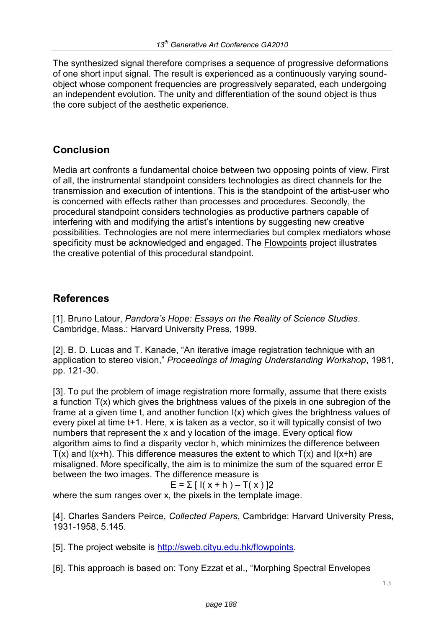The synthesized signal therefore comprises a sequence of progressive deformations of one short input signal. The result is experienced as a continuously varying soundobject whose component frequencies are progressively separated, each undergoing an independent evolution. The unity and differentiation of the sound object is thus the core subject of the aesthetic experience.

## **Conclusion**

Media art confronts a fundamental choice between two opposing points of view. First of all, the instrumental standpoint considers technologies as direct channels for the transmission and execution of intentions. This is the standpoint of the artist-user who is concerned with effects rather than processes and procedures. Secondly, the procedural standpoint considers technologies as productive partners capable of interfering with and modifying the artist's intentions by suggesting new creative possibilities. Technologies are not mere intermediaries but complex mediators whose specificity must be acknowledged and engaged. The **Flowpoints** project illustrates the creative potential of this procedural standpoint.

## **References**

[1]. Bruno Latour, *Pandora's Hope: Essays on the Reality of Science Studies*. Cambridge, Mass.: Harvard University Press, 1999.

[2]. B. D. Lucas and T. Kanade, "An iterative image registration technique with an application to stereo vision," *Proceedings of Imaging Understanding Workshop*, 1981, pp. 121-30.

[3]. To put the problem of image registration more formally, assume that there exists a function T(x) which gives the brightness values of the pixels in one subregion of the frame at a given time t, and another function  $I(x)$  which gives the brightness values of every pixel at time t+1. Here, x is taken as a vector, so it will typically consist of two numbers that represent the x and y location of the image. Every optical flow algorithm aims to find a disparity vector h, which minimizes the difference between  $T(x)$  and  $I(x+h)$ . This difference measures the extent to which  $T(x)$  and  $I(x+h)$  are misaligned. More specifically, the aim is to minimize the sum of the squared error E between the two images. The difference measure is

$$
E = \sum [l(x + h) - T(x)]2
$$

where the sum ranges over x, the pixels in the template image.

[4]. Charles Sanders Peirce, *Collected Papers*, Cambridge: Harvard University Press, 1931-1958, 5.145.

[5]. The project website is http://sweb.cityu.edu.hk/flowpoints.

[6]. This approach is based on: Tony Ezzat et al., "Morphing Spectral Envelopes